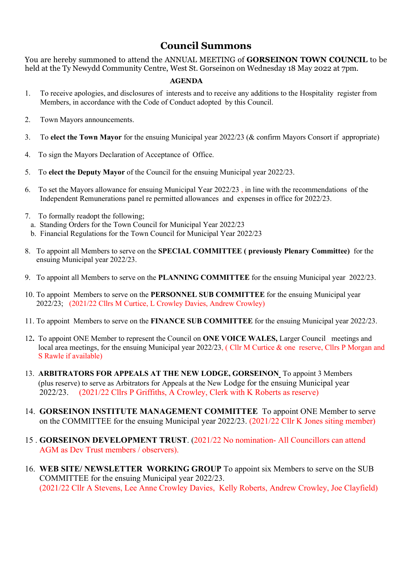## Council Summons

You are hereby summoned to attend the ANNUAL MEETING of GORSEINON TOWN COUNCIL to be held at the Ty Newydd Community Centre, West St. Gorseinon on Wednesday 18 May 2022 at 7pm.

## AGENDA

- 1. To receive apologies, and disclosures of interests and to receive any additions to the Hospitality register from Members, in accordance with the Code of Conduct adopted by this Council.
- 2. Town Mayors announcements.
- 3. To elect the Town Mayor for the ensuing Municipal year 2022/23 (& confirm Mayors Consort if appropriate)
- 4. To sign the Mayors Declaration of Acceptance of Office.
- 5. To elect the Deputy Mayor of the Council for the ensuing Municipal year 2022/23.
- 6. To set the Mayors allowance for ensuing Municipal Year 2022/23 , in line with the recommendations of the Independent Remunerations panel re permitted allowances and expenses in office for 2022/23.
- 7. To formally readopt the following;
	- a. Standing Orders for the Town Council for Municipal Year 2022/23
	- b. Financial Regulations for the Town Council for Municipal Year 2022/23
- 8. To appoint all Members to serve on the SPECIAL COMMITTEE ( previously Plenary Committee) for the ensuing Municipal year 2022/23.
- 9. To appoint all Members to serve on the PLANNING COMMITTEE for the ensuing Municipal year 2022/23.
- 10. To appoint Members to serve on the PERSONNEL SUB COMMITTEE for the ensuing Municipal year 2022/23; (2021/22 Cllrs M Curtice, L Crowley Davies, Andrew Crowley)
- 11. To appoint Members to serve on the FINANCE SUB COMMITTEE for the ensuing Municipal year 2022/23.
- 12. To appoint ONE Member to represent the Council on ONE VOICE WALES, Larger Council meetings and local area meetings, for the ensuing Municipal year 2022/23, (Cllr M Curtice & one reserve, Cllrs P Morgan and S Rawle if available)
- 13. ARBITRATORS FOR APPEALS AT THE NEW LODGE, GORSEINON\_To appoint 3 Members (plus reserve) to serve as Arbitrators for Appeals at the New Lodge for the ensuing Municipal year 2022/23. (2021/22 Cllrs P Griffiths, A Crowley, Clerk with K Roberts as reserve)
- 14. GORSEINON INSTITUTE MANAGEMENT COMMITTEE To appoint ONE Member to serve on the COMMITTEE for the ensuing Municipal year 2022/23. (2021/22 Cllr K Jones siting member)
- 15 . GORSEINON DEVELOPMENT TRUST. (2021/22 No nomination- All Councillors can attend AGM as Dev Trust members / observers).
- 16. WEB SITE/ NEWSLETTER WORKING GROUP To appoint six Members to serve on the SUB COMMITTEE for the ensuing Municipal year 2022/23. (2021/22 Cllr A Stevens, Lee Anne Crowley Davies, Kelly Roberts, Andrew Crowley, Joe Clayfield)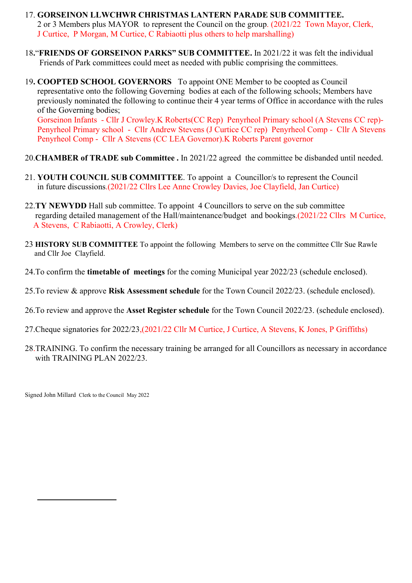- 17. GORSEINON LLWCHWR CHRISTMAS LANTERN PARADE SUB COMMITTEE. 2 or 3 Members plus MAYOR to represent the Council on the group. (2021/22 Town Mayor, Clerk, J Curtice, P Morgan, M Curtice, C Rabiaotti plus others to help marshalling)
- 18."FRIENDS OF GORSEINON PARKS" SUB COMMITTEE. In 2021/22 it was felt the individual Friends of Park committees could meet as needed with public comprising the committees.
- 19. COOPTED SCHOOL GOVERNORS To appoint ONE Member to be coopted as Council representative onto the following Governing bodies at each of the following schools; Members have previously nominated the following to continue their 4 year terms of Office in accordance with the rules of the Governing bodies; Gorseinon Infants - Cllr J Crowley.K Roberts(CC Rep) Penyrheol Primary school (A Stevens CC rep)-

 Penyrheol Primary school - Cllr Andrew Stevens (J Curtice CC rep) Penyrheol Comp - Cllr A Stevens Penyrheol Comp - Cllr A Stevens (CC LEA Governor).K Roberts Parent governor

- 20.CHAMBER of TRADE sub Committee . In 2021/22 agreed the committee be disbanded until needed.
- 21. YOUTH COUNCIL SUB COMMITTEE. To appoint a Councillor/s to represent the Council in future discussions.(2021/22 Cllrs Lee Anne Crowley Davies, Joe Clayfield, Jan Curtice)
- 22.**TY NEWYDD** Hall sub committee. To appoint 4 Councillors to serve on the sub committee regarding detailed management of the Hall/maintenance/budget and bookings.(2021/22 Cllrs M Curtice, A Stevens, C Rabiaotti, A Crowley, Clerk)
- 23 HISTORY SUB COMMITTEE To appoint the following Members to serve on the committee Cllr Sue Rawle and Cllr Joe Clayfield.
- 24.To confirm the timetable of meetings for the coming Municipal year 2022/23 (schedule enclosed).
- 25.To review & approve Risk Assessment schedule for the Town Council 2022/23. (schedule enclosed).
- 26.To review and approve the Asset Register schedule for the Town Council 2022/23. (schedule enclosed).
- 27.Cheque signatories for 2022/23,(2021/22 Cllr M Curtice, J Curtice, A Stevens, K Jones, P Griffiths)
- 28.TRAINING. To confirm the necessary training be arranged for all Councillors as necessary in accordance with TRAINING PLAN 2022/23.

Signed John Millard Clerk to the Council May 2022

 $\overline{a}$